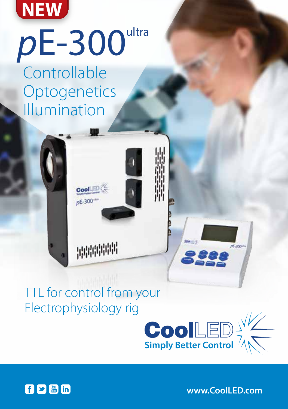

## **Controllable Optogenetics** Illumination  $pE-300$ ultra

## TTL for control from your Electrophysiology rig

神神神社

**Cool** 

 $pE - 300^{th}$ 





**www.CoolLED.com**

 $E$ -lon